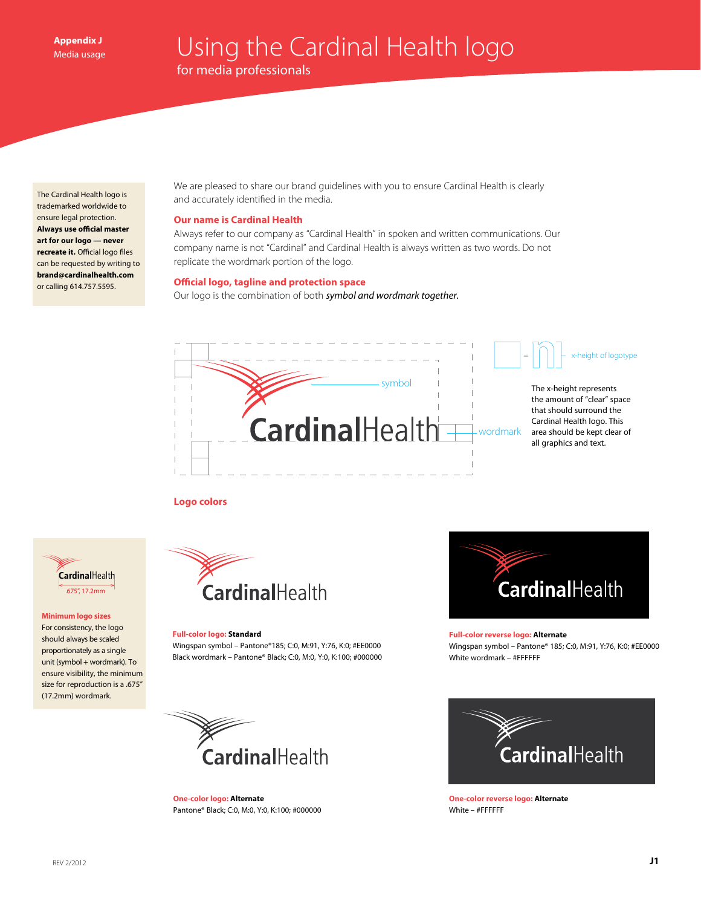The Cardinal Health logo is trademarked worldwide to ensure legal protection. **Always use official master art for our logo — never recreate it.** Official logo files can be requested by writing to **brand@cardinalhealth.com** or calling 614.757.5595.

We are pleased to share our brand guidelines with you to ensure Cardinal Health is clearly and accurately identified in the media.

# **Our name is Cardinal Health**

Always refer to our company as "Cardinal Health" in spoken and written communications. Our company name is not "Cardinal" and Cardinal Health is always written as two words. Do not replicate the wordmark portion of the logo.

# **Official logo, tagline and protection space**

Our logo is the combination of both *symbol and wordmark together.*



## **Logo colors**



#### **Minimum logo sizes**

For consistency, the logo should always be scaled proportionately as a single unit (symbol + wordmark). To ensure visibility, the minimum size for reproduction is a .675" (17.2mm) wordmark.



## **Full-color logo: Standard**

Wingspan symbol – Pantone®185; C:0, M:91, Y:76, K:0; #EE0000 Black wordmark – Pantone® Black; C:0, M:0, Y:0, K:100; #000000



## **Full-color reverse logo: Alternate**

Wingspan symbol – Pantone® 185; C:0, M:91, Y:76, K:0; #EE0000 White wordmark – #FFFFFF



**One-color logo: Alternate** Pantone® Black; C:0, M:0, Y:0, K:100; #000000



**One-color reverse logo: Alternate** White – #FFFFFF